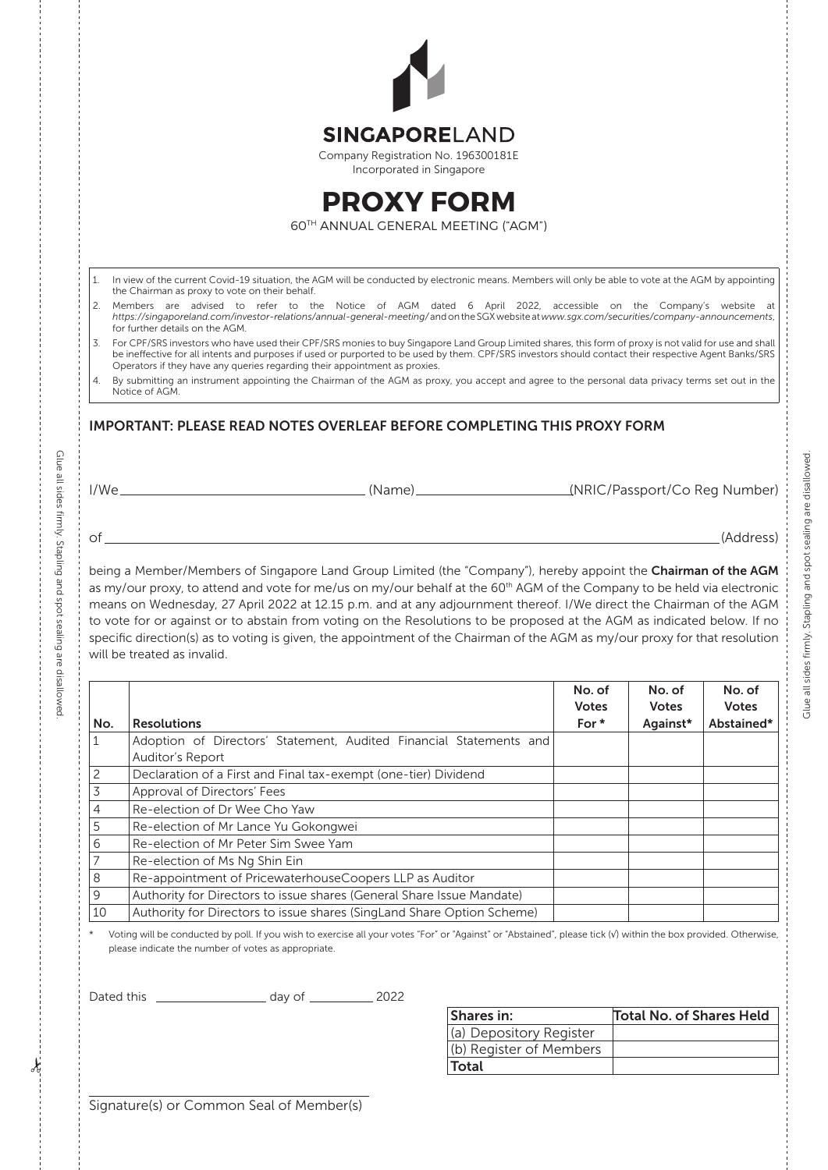|                                                  | <b>SINGAPORELAND</b>                                                                                                                                                                                                                                                                                                                                |              |              |              |  |
|--------------------------------------------------|-----------------------------------------------------------------------------------------------------------------------------------------------------------------------------------------------------------------------------------------------------------------------------------------------------------------------------------------------------|--------------|--------------|--------------|--|
|                                                  | Company Registration No. 196300181E<br>Incorporated in Singapore                                                                                                                                                                                                                                                                                    |              |              |              |  |
|                                                  | <b>PROXY FORM</b>                                                                                                                                                                                                                                                                                                                                   |              |              |              |  |
|                                                  | 60TH ANNUAL GENERAL MEETING ("AGM")                                                                                                                                                                                                                                                                                                                 |              |              |              |  |
|                                                  |                                                                                                                                                                                                                                                                                                                                                     |              |              |              |  |
| 1.                                               | In view of the current Covid-19 situation, the AGM will be conducted by electronic means. Members will only be able to vote at the AGM by appointing                                                                                                                                                                                                |              |              |              |  |
|                                                  | the Chairman as proxy to vote on their behalf.<br>2. Members are advised to refer to the Notice of AGM dated 6 April 2022, accessible on the Company's website at<br>https://singaporeland.com/investor-relations/annual-general-meeting/and on the SGX website at www.sgx.com/securities/company-announcements,                                    |              |              |              |  |
|                                                  | for further details on the AGM.<br>For CPF/SRS investors who have used their CPF/SRS monies to buy Singapore Land Group Limited shares, this form of proxy is not valid for use and shall<br>be ineffective for all intents and purposes if used or purported to be used by them. CPF/SRS investors should contact their respective Agent Banks/SRS |              |              |              |  |
|                                                  | Operators if they have any queries regarding their appointment as proxies.<br>4. By submitting an instrument appointing the Chairman of the AGM as proxy, you accept and agree to the personal data privacy terms set out in the<br>Notice of AGM.                                                                                                  |              |              |              |  |
|                                                  |                                                                                                                                                                                                                                                                                                                                                     |              |              |              |  |
|                                                  |                                                                                                                                                                                                                                                                                                                                                     |              |              |              |  |
|                                                  |                                                                                                                                                                                                                                                                                                                                                     |              |              |              |  |
|                                                  |                                                                                                                                                                                                                                                                                                                                                     |              |              | (Address)    |  |
|                                                  |                                                                                                                                                                                                                                                                                                                                                     |              |              |              |  |
| $\circ$ f $\overline{\phantom{a}}$               | being a Member/Members of Singapore Land Group Limited (the "Company"), hereby appoint the Chairman of the AGM<br>as my/our proxy, to attend and vote for me/us on my/our behalf at the 60 <sup>th</sup> AGM of the Company to be held via electronic                                                                                               |              |              |              |  |
|                                                  | means on Wednesday, 27 April 2022 at 12.15 p.m. and at any adjournment thereof. I/We direct the Chairman of the AGM                                                                                                                                                                                                                                 |              |              |              |  |
|                                                  | to vote for or against or to abstain from voting on the Resolutions to be proposed at the AGM as indicated below. If no                                                                                                                                                                                                                             |              |              |              |  |
|                                                  | specific direction(s) as to voting is given, the appointment of the Chairman of the AGM as my/our proxy for that resolution<br>will be treated as invalid.                                                                                                                                                                                          |              |              |              |  |
|                                                  |                                                                                                                                                                                                                                                                                                                                                     | No. of       | No. of       | No. of       |  |
|                                                  |                                                                                                                                                                                                                                                                                                                                                     | <b>Votes</b> | <b>Votes</b> | <b>Votes</b> |  |
|                                                  | <b>Resolutions</b>                                                                                                                                                                                                                                                                                                                                  | For *        | Against*     | Abstained*   |  |
|                                                  | Adoption of Directors' Statement, Audited Financial Statements and                                                                                                                                                                                                                                                                                  |              |              |              |  |
|                                                  | Auditor's Report                                                                                                                                                                                                                                                                                                                                    |              |              |              |  |
|                                                  | Declaration of a First and Final tax-exempt (one-tier) Dividend                                                                                                                                                                                                                                                                                     |              |              |              |  |
|                                                  | Approval of Directors' Fees                                                                                                                                                                                                                                                                                                                         |              |              |              |  |
|                                                  | Re-election of Dr Wee Cho Yaw                                                                                                                                                                                                                                                                                                                       |              |              |              |  |
|                                                  | Re-election of Mr Lance Yu Gokongwei                                                                                                                                                                                                                                                                                                                |              |              |              |  |
|                                                  | Re-election of Mr Peter Sim Swee Yam                                                                                                                                                                                                                                                                                                                |              |              |              |  |
|                                                  | Re-election of Ms Ng Shin Ein                                                                                                                                                                                                                                                                                                                       |              |              |              |  |
|                                                  | Re-appointment of PricewaterhouseCoopers LLP as Auditor                                                                                                                                                                                                                                                                                             |              |              |              |  |
| No.<br>1<br>2<br>3<br>4<br>5<br>6<br>7<br>8<br>9 | Authority for Directors to issue shares (General Share Issue Mandate)                                                                                                                                                                                                                                                                               |              |              |              |  |
| 10                                               | Authority for Directors to issue shares (SingLand Share Option Scheme)<br>Voting will be conducted by poll. If you wish to exercise all your votes "For" or "Against" or "Abstained", please tick (v) within the box provided. Otherwise,                                                                                                           |              |              |              |  |

Dated this day of 2022

| Shares in:              | <b>Total No. of Shares Held</b> |
|-------------------------|---------------------------------|
| (a) Depository Register |                                 |
| (b) Register of Members |                                 |
| Total                   |                                 |

Signature(s) or Common Seal of Member(s)

Glue all sides firmly. Stapling and spot sealing are disallowed.

Glue all sides firmly. Stapling and spot sealing are disallowed.

Glue all sides firmly. Stapling and spot sealing are disallowed. Glue all sides firmly. Stapling and spot sealing are disallowed.